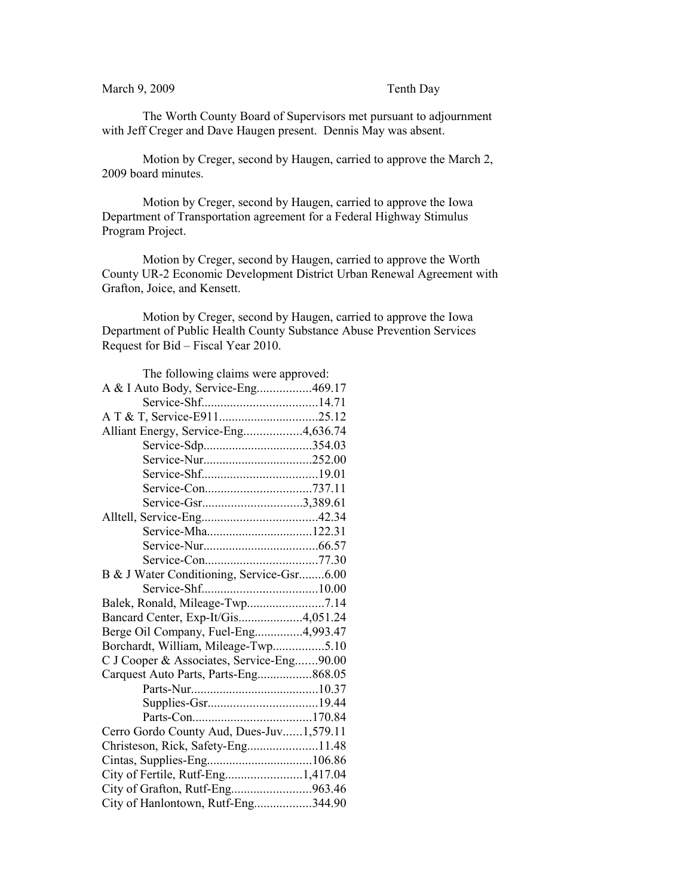## March 9, 2009 Tenth Day

The Worth County Board of Supervisors met pursuant to adjournment with Jeff Creger and Dave Haugen present. Dennis May was absent.

Motion by Creger, second by Haugen, carried to approve the March 2, 2009 board minutes.

Motion by Creger, second by Haugen, carried to approve the Iowa Department of Transportation agreement for a Federal Highway Stimulus Program Project.

Motion by Creger, second by Haugen, carried to approve the Worth County UR-2 Economic Development District Urban Renewal Agreement with Grafton, Joice, and Kensett.

Motion by Creger, second by Haugen, carried to approve the Iowa Department of Public Health County Substance Abuse Prevention Services Request for Bid – Fiscal Year 2010.

| The following claims were approved:       |  |
|-------------------------------------------|--|
| A & I Auto Body, Service-Eng469.17        |  |
|                                           |  |
|                                           |  |
| Alliant Energy, Service-Eng4,636.74       |  |
|                                           |  |
|                                           |  |
|                                           |  |
|                                           |  |
| Service-Gsr3,389.61                       |  |
|                                           |  |
| Service-Mha122.31                         |  |
|                                           |  |
|                                           |  |
| B & J Water Conditioning, Service-Gsr6.00 |  |
|                                           |  |
|                                           |  |
| Bancard Center, Exp-It/Gis4,051.24        |  |
| Berge Oil Company, Fuel-Eng4,993.47       |  |
| Borchardt, William, Mileage-Twp5.10       |  |
| C J Cooper & Associates, Service-Eng90.00 |  |
| Carquest Auto Parts, Parts-Eng868.05      |  |
|                                           |  |
|                                           |  |
|                                           |  |
| Cerro Gordo County Aud, Dues-Juv1,579.11  |  |
| Christeson, Rick, Safety-Eng11.48         |  |
|                                           |  |
| City of Fertile, Rutf-Eng1,417.04         |  |
| City of Grafton, Rutf-Eng963.46           |  |
| City of Hanlontown, Rutf-Eng344.90        |  |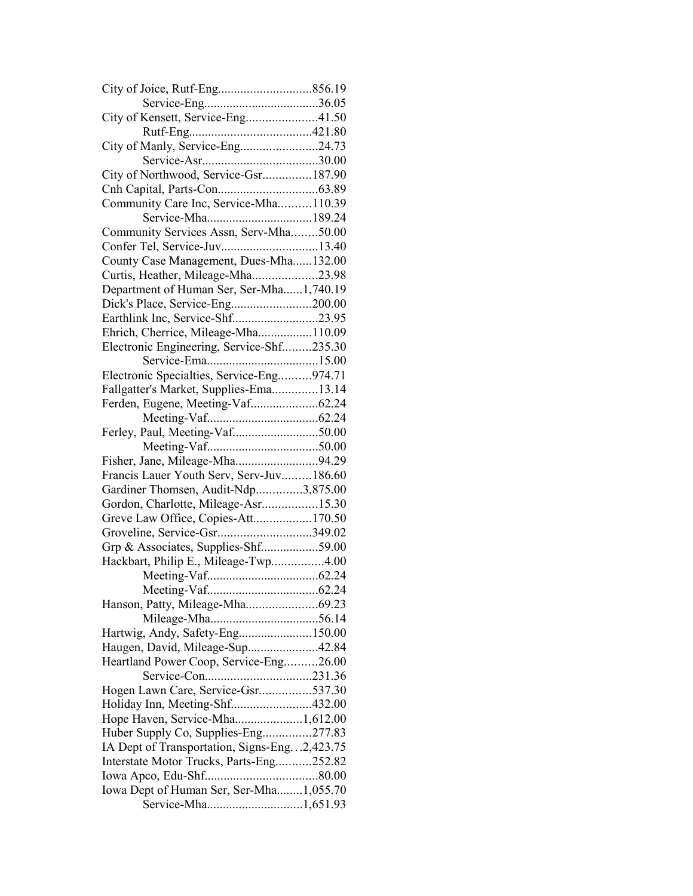| City of Kensett, Service-Eng41.50              |  |
|------------------------------------------------|--|
|                                                |  |
| City of Manly, Service-Eng24.73                |  |
|                                                |  |
| City of Northwood, Service-Gsr187.90           |  |
|                                                |  |
| Community Care Inc, Service-Mha110.39          |  |
| Service-Mha189.24                              |  |
| Community Services Assn, Serv-Mha50.00         |  |
| Confer Tel, Service-Juv13.40                   |  |
| County Case Management, Dues-Mha132.00         |  |
| Curtis, Heather, Mileage-Mha23.98              |  |
| Department of Human Ser, Ser-Mha1,740.19       |  |
|                                                |  |
| Earthlink Inc, Service-Shf23.95                |  |
| Ehrich, Cherrice, Mileage-Mha110.09            |  |
| Electronic Engineering, Service-Shf235.30      |  |
|                                                |  |
|                                                |  |
| Electronic Specialties, Service-Eng974.71      |  |
| Fallgatter's Market, Supplies-Ema13.14         |  |
| Ferden, Eugene, Meeting-Vaf62.24               |  |
|                                                |  |
| Ferley, Paul, Meeting-Vaf50.00                 |  |
|                                                |  |
| Fisher, Jane, Mileage-Mha94.29                 |  |
| Francis Lauer Youth Serv, Serv-Juv186.60       |  |
| Gardiner Thomsen, Audit-Ndp3,875.00            |  |
| Gordon, Charlotte, Mileage-Asr15.30            |  |
| Greve Law Office, Copies-Att170.50             |  |
| Groveline, Service-Gsr349.02                   |  |
| Grp & Associates, Supplies-Shf59.00            |  |
| Hackbart, Philip E., Mileage-Twp4.00           |  |
|                                                |  |
|                                                |  |
|                                                |  |
|                                                |  |
| Hartwig, Andy, Safety-Eng150.00                |  |
| Haugen, David, Mileage-Sup42.84                |  |
| Heartland Power Coop, Service-Eng26.00         |  |
|                                                |  |
| Hogen Lawn Care, Service-Gsr537.30             |  |
| Holiday Inn, Meeting-Shf432.00                 |  |
| Hope Haven, Service-Mha1,612.00                |  |
| Huber Supply Co, Supplies-Eng277.83            |  |
| IA Dept of Transportation, Signs-Eng. 2,423.75 |  |
| Interstate Motor Trucks, Parts-Eng252.82       |  |
|                                                |  |
| Iowa Dept of Human Ser, Ser-Mha1,055.70        |  |
|                                                |  |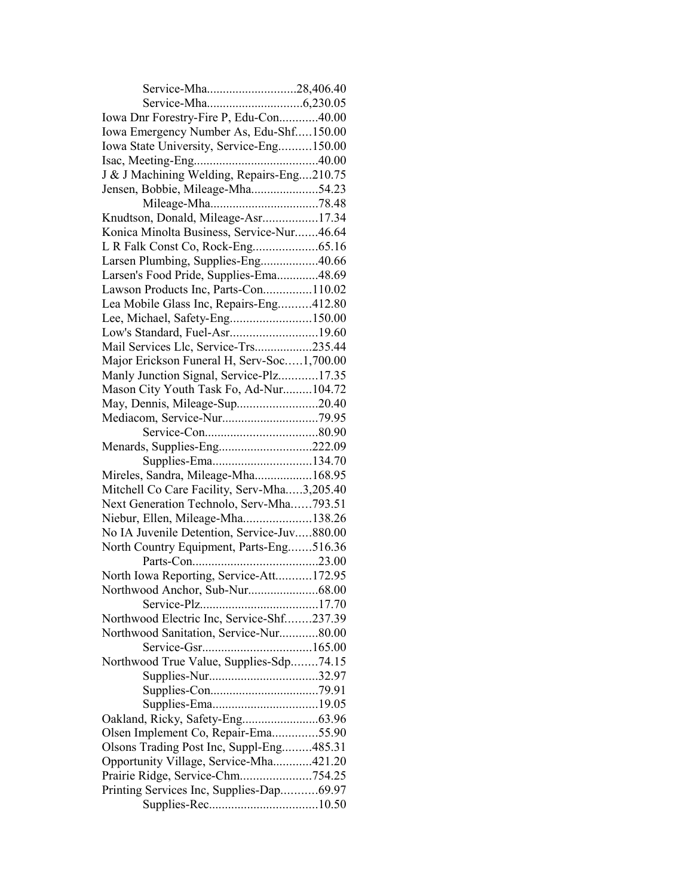| Service-Mha28,406.40                        |  |
|---------------------------------------------|--|
|                                             |  |
| Iowa Dnr Forestry-Fire P, Edu-Con40.00      |  |
| Iowa Emergency Number As, Edu-Shf150.00     |  |
| Iowa State University, Service-Eng150.00    |  |
|                                             |  |
| J & J Machining Welding, Repairs-Eng210.75  |  |
| Jensen, Bobbie, Mileage-Mha54.23            |  |
|                                             |  |
| Knudtson, Donald, Mileage-Asr17.34          |  |
| Konica Minolta Business, Service-Nur46.64   |  |
|                                             |  |
| Larsen Plumbing, Supplies-Eng40.66          |  |
| Larsen's Food Pride, Supplies-Ema48.69      |  |
| Lawson Products Inc, Parts-Con110.02        |  |
| Lea Mobile Glass Inc, Repairs-Eng412.80     |  |
| Lee, Michael, Safety-Eng150.00              |  |
| Low's Standard, Fuel-Asr19.60               |  |
| Mail Services Llc, Service-Trs235.44        |  |
| Major Erickson Funeral H, Serv-Soc1,700.00  |  |
| Manly Junction Signal, Service-Plz17.35     |  |
| Mason City Youth Task Fo, Ad-Nur104.72      |  |
| May, Dennis, Mileage-Sup20.40               |  |
|                                             |  |
|                                             |  |
| Menards, Supplies-Eng222.09                 |  |
| Supplies-Ema134.70                          |  |
| Mireles, Sandra, Mileage-Mha168.95          |  |
|                                             |  |
| Mitchell Co Care Facility, Serv-Mha3,205.40 |  |
| Next Generation Technolo, Serv-Mha793.51    |  |
| Niebur, Ellen, Mileage-Mha138.26            |  |
| No IA Juvenile Detention, Service-Juv880.00 |  |
| North Country Equipment, Parts-Eng516.36    |  |
|                                             |  |
| North Iowa Reporting, Service-Att172.95     |  |
|                                             |  |
|                                             |  |
| Northwood Electric Inc, Service-Shf237.39   |  |
| Northwood Sanitation, Service-Nur80.00      |  |
|                                             |  |
| Northwood True Value, Supplies-Sdp74.15     |  |
|                                             |  |
|                                             |  |
|                                             |  |
|                                             |  |
| Olsen Implement Co, Repair-Ema55.90         |  |
| Olsons Trading Post Inc, Suppl-Eng485.31    |  |
| Opportunity Village, Service-Mha421.20      |  |
| Prairie Ridge, Service-Chm754.25            |  |
| Printing Services Inc, Supplies-Dap69.97    |  |
|                                             |  |